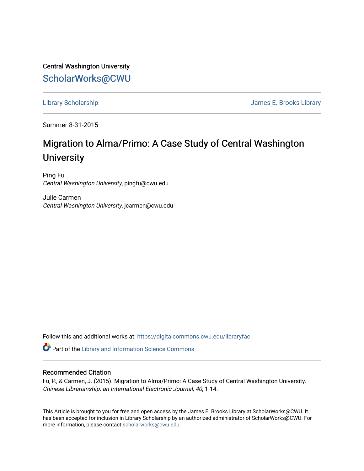Central Washington University [ScholarWorks@CWU](https://digitalcommons.cwu.edu/) 

[Library Scholarship](https://digitalcommons.cwu.edu/libraryfac) [James E. Brooks Library](https://digitalcommons.cwu.edu/library) 

Summer 8-31-2015

# Migration to Alma/Primo: A Case Study of Central Washington **University**

Ping Fu Central Washington University, pingfu@cwu.edu

Julie Carmen Central Washington University, jcarmen@cwu.edu

Follow this and additional works at: [https://digitalcommons.cwu.edu/libraryfac](https://digitalcommons.cwu.edu/libraryfac?utm_source=digitalcommons.cwu.edu%2Flibraryfac%2F30&utm_medium=PDF&utm_campaign=PDFCoverPages) 

Part of the [Library and Information Science Commons](http://network.bepress.com/hgg/discipline/1018?utm_source=digitalcommons.cwu.edu%2Flibraryfac%2F30&utm_medium=PDF&utm_campaign=PDFCoverPages) 

#### Recommended Citation

Fu, P., & Carmen, J. (2015). Migration to Alma/Primo: A Case Study of Central Washington University. Chinese Librarianship: an International Electronic Journal, 40, 1-14.

This Article is brought to you for free and open access by the James E. Brooks Library at ScholarWorks@CWU. It has been accepted for inclusion in Library Scholarship by an authorized administrator of ScholarWorks@CWU. For more information, please contact [scholarworks@cwu.edu.](mailto:scholarworks@cwu.edu)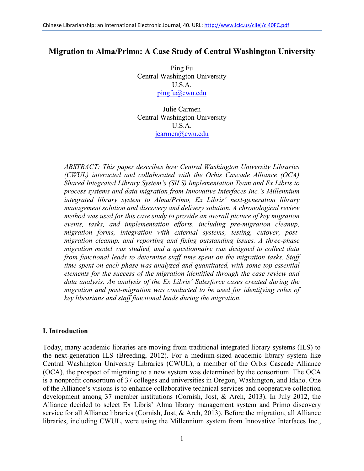# **Migration to Alma/Primo: A Case Study of Central Washington University**

Ping Fu Central Washington University U.S.A. [pingfu@cwu.edu](mailto:pingfu@cwu.edu)

Julie Carmen Central Washington University U.S.A. [jcarmen@cwu.edu](mailto:jcarmen@cwu.edu)

*ABSTRACT: This paper describes how Central Washington University Libraries (CWUL) interacted and collaborated with the Orbis Cascade Alliance (OCA) Shared Integrated Library System's (SILS) Implementation Team and Ex Libris to process systems and data migration from Innovative Interfaces Inc.'s Millennium integrated library system to Alma/Primo, Ex Libris' next-generation library management solution and discovery and delivery solution. A chronological review method was used for this case study to provide an overall picture of key migration events, tasks, and implementation efforts, including pre-migration cleanup, migration forms, integration with external systems, testing, cutover, postmigration cleanup, and reporting and fixing outstanding issues. A three-phase migration model was studied, and a questionnaire was designed to collect data from functional leads to determine staff time spent on the migration tasks. Staff time spent on each phase was analyzed and quantitated, with some top essential elements for the success of the migration identified through the case review and data analysis. An analysis of the Ex Libris' Salesforce cases created during the migration and post-migration was conducted to be used for identifying roles of key librarians and staff functional leads during the migration.*

#### **I. Introduction**

Today, many academic libraries are moving from traditional integrated library systems (ILS) to the next-generation ILS (Breeding, 2012). For a medium-sized academic library system like Central Washington University Libraries (CWUL), a member of the Orbis Cascade Alliance (OCA), the prospect of migrating to a new system was determined by the consortium. The OCA is a nonprofit consortium of 37 colleges and universities in Oregon, Washington, and Idaho. One of the Alliance's visions is to enhance collaborative technical services and cooperative collection development among 37 member institutions (Cornish, Jost, & Arch, 2013). In July 2012, the Alliance decided to select Ex Libris' Alma library management system and Primo discovery service for all Alliance libraries (Cornish, Jost, & Arch, 2013). Before the migration, all Alliance libraries, including CWUL, were using the Millennium system from Innovative Interfaces Inc.,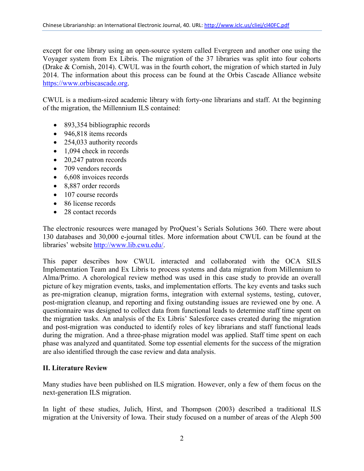except for one library using an open-source system called Evergreen and another one using the Voyager system from Ex Libris. The migration of the 37 libraries was split into four cohorts (Drake & Cornish, 2014). CWUL was in the fourth cohort, the migration of which started in July 2014. The information about this process can be found at the Orbis Cascade Alliance website [https://www.orbiscascade.org.](https://www.orbiscascade.org/)

CWUL is a medium-sized academic library with forty-one librarians and staff. At the beginning of the migration, the Millennium ILS contained:

- 893,354 bibliographic records
- 946,818 items records
- 254,033 authority records
- 1,094 check in records
- 20,247 patron records
- 709 vendors records
- 6,608 invoices records
- 8,887 order records
- 107 course records
- 86 license records
- 28 contact records

The electronic resources were managed by ProQuest's Serials Solutions 360. There were about 130 databases and 30,000 e-journal titles. More information about CWUL can be found at the libraries' website [http://www.lib.cwu.edu/.](http://www.lib.cwu.edu/)

This paper describes how CWUL interacted and collaborated with the OCA SILS Implementation Team and Ex Libris to process systems and data migration from Millennium to Alma/Primo. A chorological review method was used in this case study to provide an overall picture of key migration events, tasks, and implementation efforts. The key events and tasks such as pre-migration cleanup, migration forms, integration with external systems, testing, cutover, post-migration cleanup, and reporting and fixing outstanding issues are reviewed one by one. A questionnaire was designed to collect data from functional leads to determine staff time spent on the migration tasks. An analysis of the Ex Libris' Salesforce cases created during the migration and post-migration was conducted to identify roles of key librarians and staff functional leads during the migration. And a three-phase migration model was applied. Staff time spent on each phase was analyzed and quantitated. Some top essential elements for the success of the migration are also identified through the case review and data analysis.

## **II. Literature Review**

Many studies have been published on ILS migration. However, only a few of them focus on the next-generation ILS migration.

In light of these studies, Julich, Hirst, and Thompson (2003) described a traditional ILS migration at the University of Iowa. Their study focused on a number of areas of the Aleph 500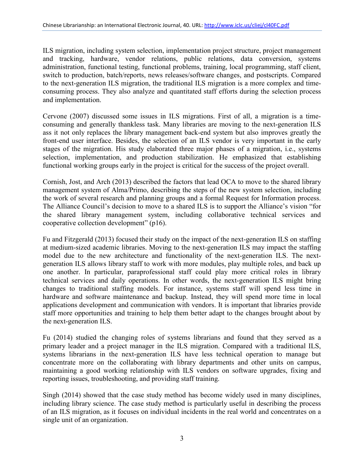ILS migration, including system selection, implementation project structure, project management and tracking, hardware, vendor relations, public relations, data conversion, systems administration, functional testing, functional problems, training, local programming, staff client, switch to production, batch/reports, news releases/software changes, and postscripts. Compared to the next-generation ILS migration, the traditional ILS migration is a more complex and timeconsuming process. They also analyze and quantitated staff efforts during the selection process and implementation.

Cervone (2007) discussed some issues in ILS migrations. First of all, a migration is a timeconsuming and generally thankless task. Many libraries are moving to the next-generation ILS ass it not only replaces the library management back-end system but also improves greatly the front-end user interface. Besides, the selection of an ILS vendor is very important in the early stages of the migration. His study elaborated three major phases of a migration, i.e., systems selection, implementation, and production stabilization. He emphasized that establishing functional working groups early in the project is critical for the success of the project overall.

Cornish, Jost, and Arch (2013) described the factors that lead OCA to move to the shared library management system of Alma/Primo, describing the steps of the new system selection, including the work of several research and planning groups and a formal Request for Information process. The Alliance Council's decision to move to a shared ILS is to support the Alliance's vision "for the shared library management system, including collaborative technical services and cooperative collection development" (p16).

Fu and Fitzgerald (2013) focused their study on the impact of the next-generation ILS on staffing at medium-sized academic libraries. Moving to the next-generation ILS may impact the staffing model due to the new architecture and functionality of the next-generation ILS. The nextgeneration ILS allows library staff to work with more modules, play multiple roles, and back up one another. In particular, paraprofessional staff could play more critical roles in library technical services and daily operations. In other words, the next-generation ILS might bring changes to traditional staffing models. For instance, systems staff will spend less time in hardware and software maintenance and backup. Instead, they will spend more time in local applications development and communication with vendors. It is important that libraries provide staff more opportunities and training to help them better adapt to the changes brought about by the next-generation ILS.

Fu (2014) studied the changing roles of systems librarians and found that they served as a primary leader and a project manager in the ILS migration. Compared with a traditional ILS, systems librarians in the next-generation ILS have less technical operation to manage but concentrate more on the collaborating with library departments and other units on campus, maintaining a good working relationship with ILS vendors on software upgrades, fixing and reporting issues, troubleshooting, and providing staff training.

Singh (2014) showed that the case study method has become widely used in many disciplines, including library science. The case study method is particularly useful in describing the process of an ILS migration, as it focuses on individual incidents in the real world and concentrates on a single unit of an organization.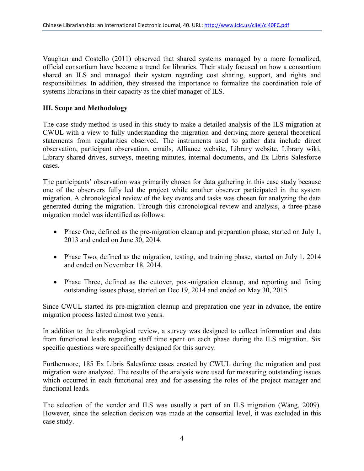Vaughan and Costello (2011) observed that shared systems managed by a more formalized, official consortium have become a trend for libraries. Their study focused on how a consortium shared an ILS and managed their system regarding cost sharing, support, and rights and responsibilities. In addition, they stressed the importance to formalize the coordination role of systems librarians in their capacity as the chief manager of ILS.

# **III. Scope and Methodology**

The case study method is used in this study to make a detailed analysis of the ILS migration at CWUL with a view to fully understanding the migration and deriving more general theoretical statements from regularities observed. The instruments used to gather data include direct observation, participant observation, emails, Alliance website, Library website, Library wiki, Library shared drives, surveys, meeting minutes, internal documents, and Ex Libris Salesforce cases.

The participants' observation was primarily chosen for data gathering in this case study because one of the observers fully led the project while another observer participated in the system migration. A chronological review of the key events and tasks was chosen for analyzing the data generated during the migration. Through this chronological review and analysis, a three-phase migration model was identified as follows:

- Phase One, defined as the pre-migration cleanup and preparation phase, started on July 1, 2013 and ended on June 30, 2014.
- Phase Two, defined as the migration, testing, and training phase, started on July 1, 2014 and ended on November 18, 2014.
- Phase Three, defined as the cutover, post-migration cleanup, and reporting and fixing outstanding issues phase, started on Dec 19, 2014 and ended on May 30, 2015.

Since CWUL started its pre-migration cleanup and preparation one year in advance, the entire migration process lasted almost two years.

In addition to the chronological review, a survey was designed to collect information and data from functional leads regarding staff time spent on each phase during the ILS migration. Six specific questions were specifically designed for this survey.

Furthermore, 185 Ex Libris Salesforce cases created by CWUL during the migration and post migration were analyzed. The results of the analysis were used for measuring outstanding issues which occurred in each functional area and for assessing the roles of the project manager and functional leads.

The selection of the vendor and ILS was usually a part of an ILS migration (Wang, 2009). However, since the selection decision was made at the consortial level, it was excluded in this case study.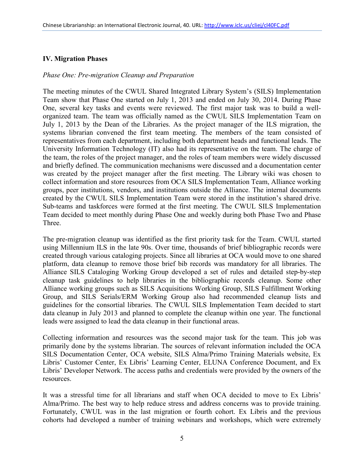## **IV. Migration Phases**

#### *Phase One: Pre-migration Cleanup and Preparation*

The meeting minutes of the CWUL Shared Integrated Library System's (SILS) Implementation Team show that Phase One started on July 1, 2013 and ended on July 30, 2014. During Phase One, several key tasks and events were reviewed. The first major task was to build a wellorganized team. The team was officially named as the CWUL SILS Implementation Team on July 1, 2013 by the Dean of the Libraries. As the project manager of the ILS migration, the systems librarian convened the first team meeting. The members of the team consisted of representatives from each department, including both department heads and functional leads. The University Information Technology (IT) also had its representative on the team. The charge of the team, the roles of the project manager, and the roles of team members were widely discussed and briefly defined. The communication mechanisms were discussed and a documentation center was created by the project manager after the first meeting. The Library wiki was chosen to collect information and store resources from OCA SILS Implementation Team, Alliance working groups, peer institutions, vendors, and institutions outside the Alliance. The internal documents created by the CWUL SILS Implementation Team were stored in the institution's shared drive. Sub-teams and taskforces were formed at the first meeting. The CWUL SILS Implementation Team decided to meet monthly during Phase One and weekly during both Phase Two and Phase Three.

The pre-migration cleanup was identified as the first priority task for the Team. CWUL started using Millennium ILS in the late 90s. Over time, thousands of brief bibliographic records were created through various cataloging projects. Since all libraries at OCA would move to one shared platform, data cleanup to remove those brief bib records was mandatory for all libraries. The Alliance SILS Cataloging Working Group developed a set of rules and detailed step-by-step cleanup task guidelines to help libraries in the bibliographic records cleanup. Some other Alliance working groups such as SILS Acquisitions Working Group, SILS Fulfillment Working Group, and SILS Serials/ERM Working Group also had recommended cleanup lists and guidelines for the consortial libraries. The CWUL SILS Implementation Team decided to start data cleanup in July 2013 and planned to complete the cleanup within one year. The functional leads were assigned to lead the data cleanup in their functional areas.

Collecting information and resources was the second major task for the team. This job was primarily done by the systems librarian. The sources of relevant information included the OCA SILS Documentation Center, OCA website, SILS Alma/Primo Training Materials website, Ex Libris' Customer Center, Ex Libris' Learning Center, ELUNA Conference Document, and Ex Libris' Developer Network. The access paths and credentials were provided by the owners of the resources.

It was a stressful time for all librarians and staff when OCA decided to move to Ex Libris' Alma/Primo. The best way to help reduce stress and address concerns was to provide training. Fortunately, CWUL was in the last migration or fourth cohort. Ex Libris and the previous cohorts had developed a number of training webinars and workshops, which were extremely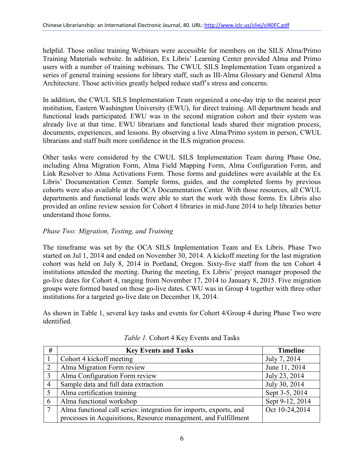helpful. Those online training Webinars were accessible for members on the SILS Alma/Primo Training Materials website. In addition, Ex Libris' Learning Center provided Alma and Primo users with a number of training webinars. The CWUL SILS Implementation Team organized a series of general training sessions for library staff, such as III-Alma Glossary and General Alma Architecture. Those activities greatly helped reduce staff's stress and concerns.

In addition, the CWUL SILS Implementation Team organized a one-day trip to the nearest peer institution, Eastern Washington University (EWU), for direct training. All department heads and functional leads participated. EWU was in the second migration cohort and their system was already live at that time. EWU librarians and functional leads shared their migration process, documents, experiences, and lessons. By observing a live Alma/Primo system in person, CWUL librarians and staff built more confidence in the ILS migration process.

Other tasks were considered by the CWUL SILS Implementation Team during Phase One, including Alma Migration Form, Alma Field Mapping Form, Alma Configuration Form, and Link Resolver to Alma Activations Form. Those forms and guidelines were available at the Ex Libris' Documentation Center. Sample forms, guides, and the completed forms by previous cohorts were also available at the OCA Documentation Center. With those resources, all CWUL departments and functional leads were able to start the work with those forms. Ex Libris also provided an online review session for Cohort 4 libraries in mid-June 2014 to help libraries better understand those forms.

## *Phase Two: Migration, Testing, and Training*

The timeframe was set by the OCA SILS Implementation Team and Ex Libris. Phase Two started on Jul 1, 2014 and ended on November 30, 2014. A kickoff meeting for the last migration cohort was held on July 8, 2014 in Portland, Oregon. Sixty-five staff from the ten Cohort 4 institutions attended the meeting. During the meeting, Ex Libris' project manager proposed the go-live dates for Cohort 4, ranging from November 17, 2014 to January 8, 2015. Five migration groups were formed based on those go-live dates. CWU was in Group 4 together with three other institutions for a targeted go-live date on December 18, 2014.

As shown in Table 1, several key tasks and events for Cohort 4/Group 4 during Phase Two were identified.

| #              | <b>Key Events and Tasks</b>                                        | <b>Timeline</b> |
|----------------|--------------------------------------------------------------------|-----------------|
|                | Cohort 4 kickoff meeting                                           | July 7, 2014    |
| $\overline{2}$ | Alma Migration Form review                                         | June 11, 2014   |
| 3              | Alma Configuration Form review                                     | July 23, 2014   |
| 4              | Sample data and full data extraction                               | July 30, 2014   |
| 5              | Alma certification training                                        | Sept 3-5, 2014  |
| 6              | Alma functional workshop                                           | Sept 9-12, 2014 |
| $\tau$         | Alma functional call series: integration for imports, exports, and | Oct 10-24,2014  |
|                | processes in Acquisitions, Resource management, and Fulfillment    |                 |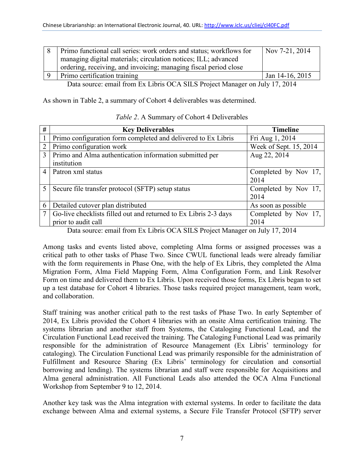| Primo functional call series: work orders and status; workflows for         | Nov 7-21, 2014       |  |  |  |
|-----------------------------------------------------------------------------|----------------------|--|--|--|
| managing digital materials; circulation notices; ILL; advanced              |                      |  |  |  |
| ordering, receiving, and invoicing; managing fiscal period close            |                      |  |  |  |
| Primo certification training                                                | Jan $14-16$ , $2015$ |  |  |  |
| Data source: email from Ex Libris OCA SILS Project Manager on July 17, 2014 |                      |  |  |  |

As shown in Table 2, a summary of Cohort 4 deliverables was determined.

| #              | <b>Key Deliverables</b>                                          | <b>Timeline</b>        |
|----------------|------------------------------------------------------------------|------------------------|
|                | Primo configuration form completed and delivered to Ex Libris    | Fri Aug 1, 2014        |
| $\overline{2}$ | Primo configuration work                                         | Week of Sept. 15, 2014 |
| 3              | Primo and Alma authentication information submitted per          | Aug 22, 2014           |
|                | institution                                                      |                        |
| 4              | Patron xml status                                                | Completed by Nov 17,   |
|                |                                                                  | 2014                   |
| 5              | Secure file transfer protocol (SFTP) setup status                | Completed by Nov 17,   |
|                |                                                                  | 2014                   |
| 6              | Detailed cutover plan distributed                                | As soon as possible    |
|                | Go-live checklists filled out and returned to Ex Libris 2-3 days | Completed by Nov 17,   |
|                | prior to audit call                                              | 2014                   |

#### *Table 2*. A Summary of Cohort 4 Deliverables

Data source: email from Ex Libris OCA SILS Project Manager on July 17, 2014

Among tasks and events listed above, completing Alma forms or assigned processes was a critical path to other tasks of Phase Two. Since CWUL functional leads were already familiar with the form requirements in Phase One, with the help of Ex Libris, they completed the Alma Migration Form, Alma Field Mapping Form, Alma Configuration Form, and Link Resolver Form on time and delivered them to Ex Libris. Upon received those forms, Ex Libris began to set up a test database for Cohort 4 libraries. Those tasks required project management, team work, and collaboration.

Staff training was another critical path to the rest tasks of Phase Two. In early September of 2014, Ex Libris provided the Cohort 4 libraries with an onsite Alma certification training. The systems librarian and another staff from Systems, the Cataloging Functional Lead, and the Circulation Functional Lead received the training. The Cataloging Functional Lead was primarily responsible for the administration of Resource Management (Ex Libris' terminology for cataloging). The Circulation Functional Lead was primarily responsible for the administration of Fulfillment and Resource Sharing (Ex Libris' terminology for circulation and consortial borrowing and lending). The systems librarian and staff were responsible for Acquisitions and Alma general administration. All Functional Leads also attended the OCA Alma Functional Workshop from September 9 to 12, 2014.

Another key task was the Alma integration with external systems. In order to facilitate the data exchange between Alma and external systems, a Secure File Transfer Protocol (SFTP) server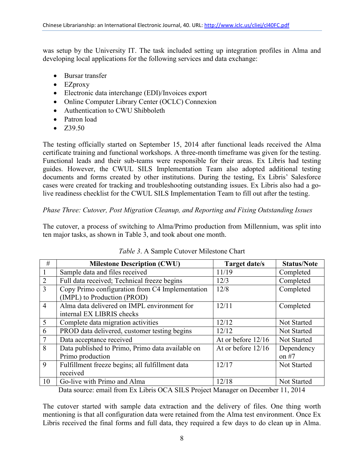was setup by the University IT. The task included setting up integration profiles in Alma and developing local applications for the following services and data exchange:

- Bursar transfer
- EZproxy
- Electronic data interchange (EDI)/Invoices export
- Online Computer Library Center (OCLC) Connexion
- Authentication to CWU Shibboleth
- Patron load
- $\bullet$  Z39.50

The testing officially started on September 15, 2014 after functional leads received the Alma certificate training and functional workshops. A three-month timeframe was given for the testing. Functional leads and their sub-teams were responsible for their areas. Ex Libris had testing guides. However, the CWUL SILS Implementation Team also adopted additional testing documents and forms created by other institutions. During the testing, Ex Libris' Salesforce cases were created for tracking and troubleshooting outstanding issues. Ex Libris also had a golive readiness checklist for the CWUL SILS Implementation Team to fill out after the testing.

## *Phase Three: Cutover, Post Migration Cleanup, and Reporting and Fixing Outstanding Issues*

The cutover, a process of switching to Alma/Primo production from Millennium, was split into ten major tasks, as shown in Table 3, and took about one month.

| <b>Milestone Description (CWU)</b>               | Target date/s        | <b>Status/Note</b>                                                                                                                                                                                                                                                                                                                                                 |
|--------------------------------------------------|----------------------|--------------------------------------------------------------------------------------------------------------------------------------------------------------------------------------------------------------------------------------------------------------------------------------------------------------------------------------------------------------------|
| Sample data and files received                   | 11/19                | Completed                                                                                                                                                                                                                                                                                                                                                          |
| Full data received; Technical freeze begins      | 12/3                 | Completed                                                                                                                                                                                                                                                                                                                                                          |
| Copy Primo configuration from C4 Implementation  | 12/8                 | Completed                                                                                                                                                                                                                                                                                                                                                          |
| (IMPL) to Production (PROD)                      |                      |                                                                                                                                                                                                                                                                                                                                                                    |
| Alma data delivered on IMPL environment for      | 12/11                | Completed                                                                                                                                                                                                                                                                                                                                                          |
| internal EX LIBRIS checks                        |                      |                                                                                                                                                                                                                                                                                                                                                                    |
| Complete data migration activities               | 12/12                | Not Started                                                                                                                                                                                                                                                                                                                                                        |
| PROD data delivered, customer testing begins     | 12/12                | Not Started                                                                                                                                                                                                                                                                                                                                                        |
| Data acceptance received                         | At or before $12/16$ | Not Started                                                                                                                                                                                                                                                                                                                                                        |
| Data published to Primo, Primo data available on | At or before $12/16$ | Dependency                                                                                                                                                                                                                                                                                                                                                         |
| Primo production                                 |                      | on $#7$                                                                                                                                                                                                                                                                                                                                                            |
| Fulfillment freeze begins; all fulfillment data  | 12/17                | <b>Not Started</b>                                                                                                                                                                                                                                                                                                                                                 |
| received                                         |                      |                                                                                                                                                                                                                                                                                                                                                                    |
| Go-live with Primo and Alma                      | 12/18                | Not Started                                                                                                                                                                                                                                                                                                                                                        |
|                                                  | $\cdot$ 1 $\alpha$   | $\mathbf{F}$ $\mathbf{F}$ $\mathbf{F}$ $\mathbf{F}$ $\mathbf{F}$ $\mathbf{F}$ $\mathbf{F}$ $\mathbf{F}$ $\mathbf{F}$ $\mathbf{F}$ $\mathbf{F}$ $\mathbf{F}$ $\mathbf{F}$ $\mathbf{F}$ $\mathbf{F}$ $\mathbf{F}$ $\mathbf{F}$ $\mathbf{F}$ $\mathbf{F}$ $\mathbf{F}$ $\mathbf{F}$ $\mathbf{F}$ $\mathbf{F}$ $\mathbf{F}$ $\mathbf{$<br>$\mathbf{r}$<br>$\mathbf{1}$ |

#### *Table 3*. A Sample Cutover Milestone Chart

Data source: email from Ex Libris OCA SILS Project Manager on December 11, 2014

The cutover started with sample data extraction and the delivery of files. One thing worth mentioning is that all configuration data were retained from the Alma test environment. Once Ex Libris received the final forms and full data, they required a few days to do clean up in Alma.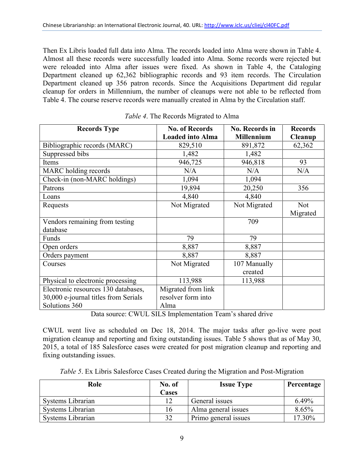Then Ex Libris loaded full data into Alma. The records loaded into Alma were shown in Table 4. Almost all these records were successfully loaded into Alma. Some records were rejected but were reloaded into Alma after issues were fixed. As shown in Table 4, the Cataloging Department cleaned up 62,362 bibliographic records and 93 item records. The Circulation Department cleaned up 356 patron records. Since the Acquisitions Department did regular cleanup for orders in Millennium, the number of cleanups were not able to be reflected from Table 4. The course reserve records were manually created in Alma by the Circulation staff.

| <b>Records Type</b>                  | <b>No. of Records</b>   | <b>No. Records in</b> | <b>Records</b> |
|--------------------------------------|-------------------------|-----------------------|----------------|
|                                      | <b>Loaded into Alma</b> | <b>Millennium</b>     | Cleanup        |
| Bibliographic records (MARC)         | 829,510                 | 891,872               | 62,362         |
| Suppressed bibs                      | 1,482                   | 1,482                 |                |
| Items                                | 946,725                 | 946,818               | 93             |
| MARC holding records                 | N/A                     | N/A                   | N/A            |
| Check-in (non-MARC holdings)         | 1,094                   | 1,094                 |                |
| Patrons                              | 19,894                  | 20,250                | 356            |
| Loans                                | 4,840                   | 4,840                 |                |
| Requests                             | Not Migrated            | Not Migrated          | <b>Not</b>     |
|                                      |                         |                       | Migrated       |
| Vendors remaining from testing       |                         | 709                   |                |
| database                             |                         |                       |                |
| Funds                                | 79                      | 79                    |                |
| Open orders                          | 8,887                   | 8,887                 |                |
| Orders payment                       | 8,887                   | 8,887                 |                |
| Courses                              | Not Migrated            | 107 Manually          |                |
|                                      |                         | created               |                |
| Physical to electronic processing    | 113,988                 | 113,988               |                |
| Electronic resources 130 databases,  | Migrated from link      |                       |                |
| 30,000 e-journal titles from Serials | resolver form into      |                       |                |
| Solutions 360                        | Alma                    |                       |                |

|  | Table 4. The Records Migrated to Alma |  |  |
|--|---------------------------------------|--|--|
|--|---------------------------------------|--|--|

Data source: CWUL SILS Implementation Team's shared drive

CWUL went live as scheduled on Dec 18, 2014. The major tasks after go-live were post migration cleanup and reporting and fixing outstanding issues. Table 5 shows that as of May 30, 2015, a total of 185 Salesforce cases were created for post migration cleanup and reporting and fixing outstanding issues.

| Table 5. Ex Libris Salesforce Cases Created during the Migration and Post-Migration |  |  |
|-------------------------------------------------------------------------------------|--|--|
|                                                                                     |  |  |

| Role              | No. of       | <b>Issue Type</b>    | Percentage |
|-------------------|--------------|----------------------|------------|
|                   | <b>Cases</b> |                      |            |
| Systems Librarian |              | General issues       | 6.49%      |
| Systems Librarian | 16           | Alma general issues  | 8.65%      |
| Systems Librarian | 32           | Primo general issues | 17.30%     |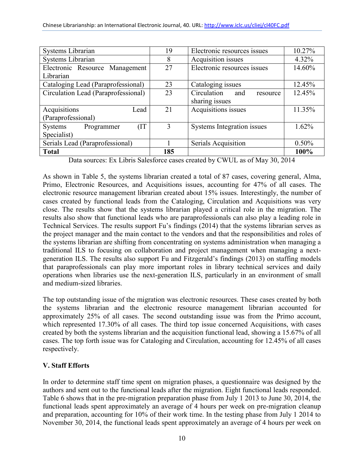| Systems Librarian                    | 19  | Electronic resources issues    | 10.27%   |
|--------------------------------------|-----|--------------------------------|----------|
| Systems Librarian                    | 8   | Acquisition issues             | 4.32%    |
| Electronic Resource Management       | 27  | Electronic resources issues    | 14.60%   |
| Librarian                            |     |                                |          |
| Cataloging Lead (Paraprofessional)   | 23  | Cataloging issues              | 12.45%   |
| Circulation Lead (Paraprofessional)  | 23  | Circulation<br>and<br>resource | 12.45%   |
|                                      |     | sharing issues                 |          |
| Acquisitions<br>Lead                 | 21  | Acquisitions issues            | 11.35%   |
| (Paraprofessional)                   |     |                                |          |
| (IT)<br>Programmer<br><b>Systems</b> | 3   | Systems Integration issues     | 1.62%    |
| Specialist)                          |     |                                |          |
| Serials Lead (Paraprofessional)      |     | Serials Acquisition            | $0.50\%$ |
| <b>Total</b>                         | 185 |                                | 100%     |

Data sources: Ex Libris Salesforce cases created by CWUL as of May 30, 2014

As shown in Table 5, the systems librarian created a total of 87 cases, covering general, Alma, Primo, Electronic Resources, and Acquisitions issues, accounting for 47% of all cases. The electronic resource management librarian created about 15% issues. Interestingly, the number of cases created by functional leads from the Cataloging, Circulation and Acquisitions was very close. The results show that the systems librarian played a critical role in the migration. The results also show that functional leads who are paraprofessionals can also play a leading role in Technical Services. The results support Fu's findings (2014) that the systems librarian serves as the project manager and the main contact to the vendors and that the responsibilities and roles of the systems librarian are shifting from concentrating on systems administration when managing a traditional ILS to focusing on collaboration and project management when managing a nextgeneration ILS. The results also support Fu and Fitzgerald's findings (2013) on staffing models that paraprofessionals can play more important roles in library technical services and daily operations when libraries use the next-generation ILS, particularly in an environment of small and medium-sized libraries.

The top outstanding issue of the migration was electronic resources. These cases created by both the systems librarian and the electronic resource management librarian accounted for approximately 25% of all cases. The second outstanding issue was from the Primo account, which represented 17.30% of all cases. The third top issue concerned Acquisitions, with cases created by both the systems librarian and the acquisition functional lead, showing a 15.67% of all cases. The top forth issue was for Cataloging and Circulation, accounting for 12.45% of all cases respectively.

## **V. Staff Efforts**

In order to determine staff time spent on migration phases, a questionnaire was designed by the authors and sent out to the functional leads after the migration. Eight functional leads responded. Table 6 shows that in the pre-migration preparation phase from July 1 2013 to June 30, 2014, the functional leads spent approximately an average of 4 hours per week on pre-migration cleanup and preparation, accounting for 10% of their work time. In the testing phase from July 1 2014 to November 30, 2014, the functional leads spent approximately an average of 4 hours per week on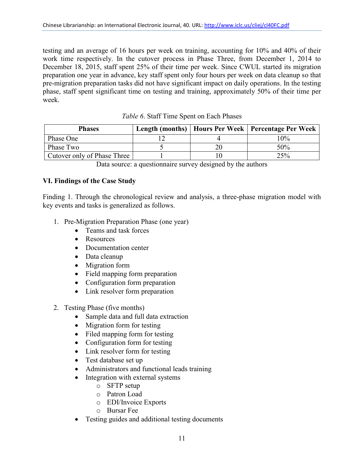testing and an average of 16 hours per week on training, accounting for 10% and 40% of their work time respectively. In the cutover process in Phase Three, from December 1, 2014 to December 18, 2015, staff spent 25% of their time per week. Since CWUL started its migration preparation one year in advance, key staff spent only four hours per week on data cleanup so that pre-migration preparation tasks did not have significant impact on daily operations. In the testing phase, staff spent significant time on testing and training, approximately 50% of their time per week.

| <b>Phases</b>               |  | Length (months)   Hours Per Week   Percentage Per Week |
|-----------------------------|--|--------------------------------------------------------|
| Phase One                   |  | $10\%$                                                 |
| Phase Two                   |  | 50%                                                    |
| Cutover only of Phase Three |  | 25%                                                    |

|  | Table 6. Staff Time Spent on Each Phases |  |  |
|--|------------------------------------------|--|--|
|--|------------------------------------------|--|--|

#### **VI. Findings of the Case Study**

Finding 1. Through the chronological review and analysis, a three-phase migration model with key events and tasks is generalized as follows.

- 1. Pre-Migration Preparation Phase (one year)
	- Teams and task forces
	- Resources
	- Documentation center
	- Data cleanup
	- Migration form
	- Field mapping form preparation
	- Configuration form preparation
	- Link resolver form preparation
- 2. Testing Phase (five months)
	- Sample data and full data extraction
	- Migration form for testing
	- Filed mapping form for testing
	- Configuration form for testing
	- Link resolver form for testing
	- Test database set up
	- Administrators and functional leads training
	- Integration with external systems
		- o SFTP setup
		- o Patron Load
		- o EDI/Invoice Exports
		- o Bursar Fee
	- Testing guides and additional testing documents

Data source: a questionnaire survey designed by the authors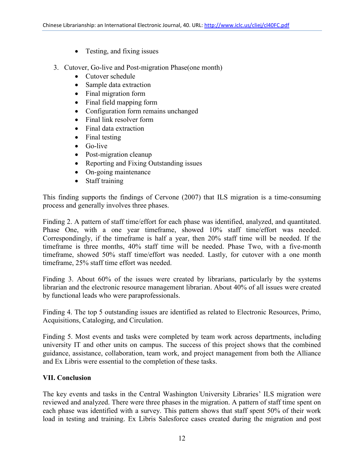- Testing, and fixing issues
- 3. Cutover, Go-live and Post-migration Phase(one month)
	- Cutover schedule
	- Sample data extraction
	- Final migration form
	- Final field mapping form
	- Configuration form remains unchanged
	- Final link resolver form
	- Final data extraction
	- Final testing
	- $\bullet$  Go-live
	- Post-migration cleanup
	- Reporting and Fixing Outstanding issues
	- On-going maintenance
	- Staff training

This finding supports the findings of Cervone (2007) that ILS migration is a time-consuming process and generally involves three phases.

Finding 2. A pattern of staff time/effort for each phase was identified, analyzed, and quantitated. Phase One, with a one year timeframe, showed 10% staff time/effort was needed. Correspondingly, if the timeframe is half a year, then 20% staff time will be needed. If the timeframe is three months, 40% staff time will be needed. Phase Two, with a five-month timeframe, showed 50% staff time/effort was needed. Lastly, for cutover with a one month timeframe, 25% staff time effort was needed.

Finding 3. About 60% of the issues were created by librarians, particularly by the systems librarian and the electronic resource management librarian. About 40% of all issues were created by functional leads who were paraprofessionals.

Finding 4. The top 5 outstanding issues are identified as related to Electronic Resources, Primo, Acquisitions, Cataloging, and Circulation.

Finding 5. Most events and tasks were completed by team work across departments, including university IT and other units on campus. The success of this project shows that the combined guidance, assistance, collaboration, team work, and project management from both the Alliance and Ex Libris were essential to the completion of these tasks.

# **VII. Conclusion**

The key events and tasks in the Central Washington University Libraries' ILS migration were reviewed and analyzed. There were three phases in the migration. A pattern of staff time spent on each phase was identified with a survey. This pattern shows that staff spent 50% of their work load in testing and training. Ex Libris Salesforce cases created during the migration and post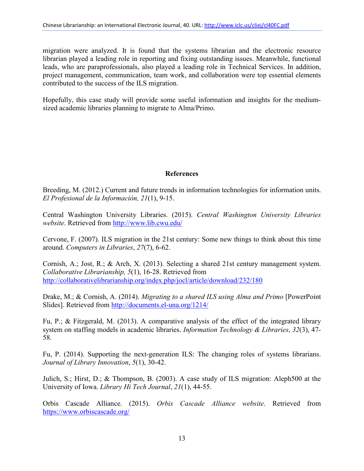migration were analyzed. It is found that the systems librarian and the electronic resource librarian played a leading role in reporting and fixing outstanding issues. Meanwhile, functional leads, who are paraprofessionals, also played a leading role in Technical Services. In addition, project management, communication, team work, and collaboration were top essential elements contributed to the success of the ILS migration.

Hopefully, this case study will provide some useful information and insights for the mediumsized academic libraries planning to migrate to Alma/Primo.

## **References**

Breeding, M. (2012.) Current and future trends in information technologies for information units. *El Profesional de la Información, 21*(1), 9-15.

Central Washington University Libraries. (2015). *Central Washington University Libraries website*. Retrieved from<http://www.lib.cwu.edu/>

Cervone, F. (2007). ILS migration in the 21st century: Some new things to think about this time around. *Computers in Libraries*, *27*(7), 6-62.

Cornish, A.; Jost, R.; & Arch, X. (2013). Selecting a shared 21st century management system. *Collaborative Librarianship, 5*(1), 16-28. Retrieved from <http://collaborativelibrarianship.org/index.php/jocl/article/download/232/180>

Drake, M.; & Cornish, A. (2014). *Migrating to a shared ILS using Alma and Primo* [PowerPoint Slides]. Retrieved from<http://documents.el-una.org/1214/>

Fu, P.; & Fitzgerald, M. (2013). A comparative analysis of the effect of the integrated library system on staffing models in academic libraries. *Information Technology & Libraries*, *32*(3), 47- 58.

Fu, P. (2014). Supporting the next-generation ILS: The changing roles of systems librarians. *Journal of Library Innovation*, *5*(1), 30-42.

Julich, S.; Hirst, D.; & Thompson, B. (2003). A case study of ILS migration: Aleph500 at the University of Iowa. *Library Hi Tech Journal*, *21*(1), 44-55.

Orbis Cascade Alliance. (2015). *Orbis Cascade Alliance website*. Retrieved from <https://www.orbiscascade.org/>